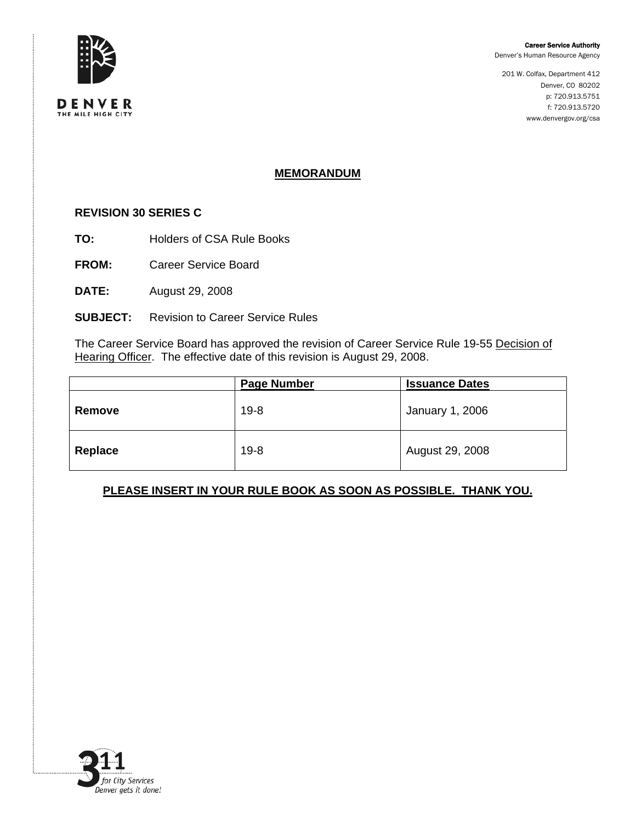

201 W. Colfax, Department 412 Denver, CO 80202 p: 720.913.5751 f: 720.913.5720 www.denvergov.org/csa



DENVER

# **MEMORANDUM**

### **REVISION 30 SERIES C**

- **TO:** Holders of CSA Rule Books
- **FROM:** Career Service Board
- **DATE:** August 29, 2008

## **SUBJECT:** Revision to Career Service Rules

The Career Service Board has approved the revision of Career Service Rule 19-55 Decision of Hearing Officer. The effective date of this revision is August 29, 2008.

|         | <b>Page Number</b> | <b>Issuance Dates</b> |
|---------|--------------------|-----------------------|
| Remove  | $19 - 8$           | January 1, 2006       |
| Replace | $19 - 8$           | August 29, 2008       |

## **PLEASE INSERT IN YOUR RULE BOOK AS SOON AS POSSIBLE. THANK YOU.**